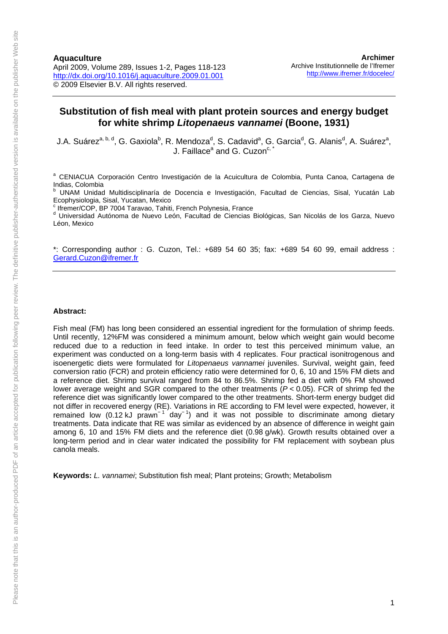April 2009, Volume 289, Issues 1-2, Pages 118-123 <http://dx.doi.org/10.1016/j.aquaculture.2009.01.001> © 2009 Elsevier B.V. All rights reserved.

### **Substitution of fish meal with plant protein sources and energy budget for white shrimp** *Litopenaeus vannamei* **(Boone, 1931)**

J.A. Suárez<sup>a, b, d</sup>, G. Gaxiola<sup>b</sup>, R. Mendoza<sup>d</sup>, S. Cadavid<sup>a</sup>, G. Garcia<sup>d</sup>, G. Alanis<sup>d</sup>, A. Suárez<sup>a</sup>, J. Faillace<sup>a</sup> and G. Cuzon<sup>c, \*</sup>

<sup>a</sup> CENIACUA Corporación Centro Investigación de la Acuicultura de Colombia, Punta Canoa, Cartagena de Indias, Colombia<br><sup>b</sup> UNAM Unided

 UNAM Unidad Multidisciplinaría de Docencia e Investigación, Facultad de Ciencias, Sisal, Yucatán Lab Ecophysiologia, Sisal, Yucatan, Mexico c

<sup>2</sup> Ifremer/COP, BP 7004 Taravao, Tahiti, French Polynesia, France

d Universidad Autónoma de Nuevo León, Facultad de Ciencias Biológicas, San Nicolás de los Garza, Nuevo Léon, Mexico

\*: Corresponding author : G. Cuzon, Tel.: +689 54 60 35; fax: +689 54 60 99, email address : [Gerard.Cuzon@ifremer.fr](mailto:Gerard.Cuzon@ifremer.fr)

#### **Abstract:**

Fish meal (FM) has long been considered an essential ingredient for the formulation of shrimp feeds. Until recently, 12%FM was considered a minimum amount, below which weight gain would become reduced due to a reduction in feed intake. In order to test this perceived minimum value, an experiment was conducted on a long-term basis with 4 replicates. Four practical isonitrogenous and isoenergetic diets were formulated for *Litopenaeus vannamei* juveniles. Survival, weight gain, feed conversion ratio (FCR) and protein efficiency ratio were determined for 0, 6, 10 and 15% FM diets and a reference diet. Shrimp survival ranged from 84 to 86.5%. Shrimp fed a diet with 0% FM showed lower average weight and SGR compared to the other treatments (*P* < 0.05). FCR of shrimp fed the reference diet was significantly lower compared to the other treatments. Short-term energy budget did not differ in recovered energy (RE). Variations in RE according to FM level were expected, however, it remained low (0.12 kJ prawn<sup>-1</sup> day<sup>-1</sup>) and it was not possible to discriminate among dietary treatments. Data indicate that RE was similar as evidenced by an absence of difference in weight gain among 6, 10 and 15% FM diets and the reference diet (0.98 g/wk). Growth results obtained over a long-term period and in clear water indicated the possibility for FM replacement with soybean plus canola meals.

**Keywords:** *L. vannamei*; Substitution fish meal; Plant proteins; Growth; Metabolism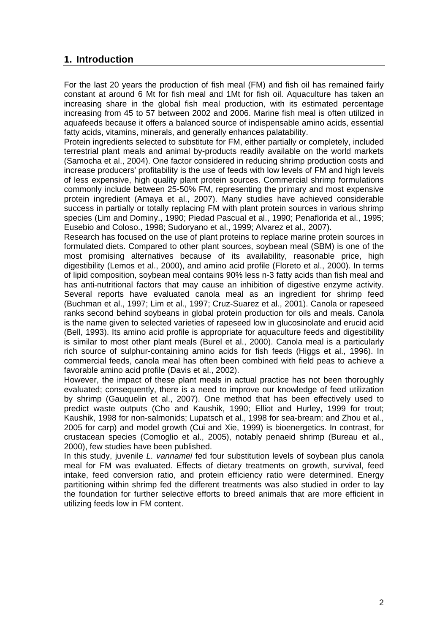# **1. Introduction**

For the last 20 years the production of fish meal (FM) and fish oil has remained fairly constant at around 6 Mt for fish meal and 1Mt for fish oil. Aquaculture has taken an increasing share in the global fish meal production, with its estimated percentage increasing from 45 to 57 between 2002 and 2006. Marine fish meal is often utilized in aquafeeds because it offers a balanced source of indispensable amino acids, essential fatty acids, vitamins, minerals, and generally enhances palatability.

Protein ingredients selected to substitute for FM, either partially or completely, included terrestrial plant meals and animal by-products readily available on the world markets (Samocha et al., 2004). One factor considered in reducing shrimp production costs and increase producers' profitability is the use of feeds with low levels of FM and high levels of less expensive, high quality plant protein sources. Commercial shrimp formulations commonly include between 25-50% FM, representing the primary and most expensive protein ingredient (Amaya et al., 2007). Many studies have achieved considerable success in partially or totally replacing FM with plant protein sources in various shrimp species (Lim and Dominy., 1990; Piedad Pascual et al., 1990; Penaflorida et al., 1995; Eusebio and Coloso., 1998; Sudoryano et al., 1999; Alvarez et al., 2007).

Research has focused on the use of plant proteins to replace marine protein sources in formulated diets. Compared to other plant sources, soybean meal (SBM) is one of the most promising alternatives because of its availability, reasonable price, high digestibility (Lemos et al., 2000), and amino acid profile (Floreto et al., 2000). In terms of lipid composition, soybean meal contains 90% less n-3 fatty acids than fish meal and has anti-nutritional factors that may cause an inhibition of digestive enzyme activity. Several reports have evaluated canola meal as an ingredient for shrimp feed (Buchman et al., 1997; Lim et al., 1997; Cruz-Suarez et al., 2001). Canola or rapeseed ranks second behind soybeans in global protein production for oils and meals. Canola is the name given to selected varieties of rapeseed low in glucosinolate and erucid acid (Bell, 1993). Its amino acid profile is appropriate for aquaculture feeds and digestibility is similar to most other plant meals (Burel et al., 2000). Canola meal is a particularly rich source of sulphur-containing amino acids for fish feeds (Higgs et al., 1996). In commercial feeds, canola meal has often been combined with field peas to achieve a favorable amino acid profile (Davis et al., 2002).

However, the impact of these plant meals in actual practice has not been thoroughly evaluated; consequently, there is a need to improve our knowledge of feed utilization by shrimp (Gauquelin et al., 2007). One method that has been effectively used to predict waste outputs (Cho and Kaushik, 1990; Elliot and Hurley, 1999 for trout; Kaushik, 1998 for non-salmonids; Lupatsch et al., 1998 for sea-bream; and Zhou et al., 2005 for carp) and model growth (Cui and Xie, 1999) is bioenergetics. In contrast, for crustacean species (Comoglio et al., 2005), notably penaeid shrimp (Bureau et al., 2000), few studies have been published.

In this study, juvenile *L. vannamei* fed four substitution levels of soybean plus canola meal for FM was evaluated. Effects of dietary treatments on growth, survival, feed intake, feed conversion ratio, and protein efficiency ratio were determined. Energy partitioning within shrimp fed the different treatments was also studied in order to lay the foundation for further selective efforts to breed animals that are more efficient in utilizing feeds low in FM content.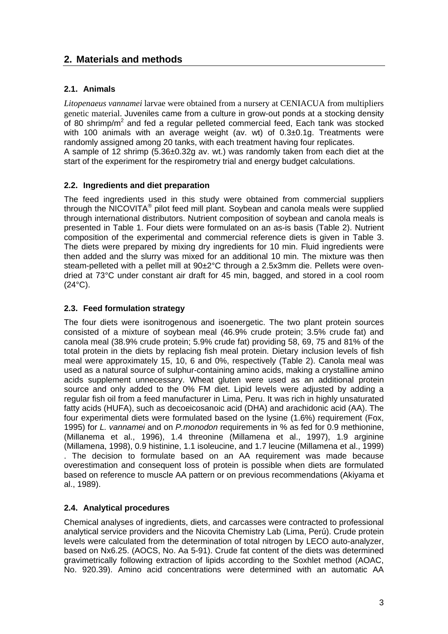# **2. Materials and methods**

# **2.1. Animals**

*Litopenaeus vannamei* larvae were obtained from a nursery at CENIACUA from multipliers genetic material. Juveniles came from a culture in grow-out ponds at a stocking density of 80 shrimp/ $m^2$  and fed a regular pelleted commercial feed, Each tank was stocked with 100 animals with an average weight (av. wt) of 0.3±0.1g. Treatments were randomly assigned among 20 tanks, with each treatment having four replicates. A sample of 12 shrimp (5.36±0.32g av. wt.) was randomly taken from each diet at the start of the experiment for the respirometry trial and energy budget calculations.

# **2.2. Ingredients and diet preparation**

The feed ingredients used in this study were obtained from commercial suppliers through the NICOVITA® pilot feed mill plant. Soybean and canola meals were supplied through international distributors. Nutrient composition of soybean and canola meals is presented in Table 1. Four diets were formulated on an as-is basis (Table 2). Nutrient composition of the experimental and commercial reference diets is given in Table 3. The diets were prepared by mixing dry ingredients for 10 min. Fluid ingredients were then added and the slurry was mixed for an additional 10 min. The mixture was then steam-pelleted with a pellet mill at 90±2°C through a 2.5x3mm die. Pellets were ovendried at 73°C under constant air draft for 45 min, bagged, and stored in a cool room  $(24^{\circ}C)$ .

# **2.3. Feed formulation strategy**

The four diets were isonitrogenous and isoenergetic. The two plant protein sources consisted of a mixture of soybean meal (46.9% crude protein; 3.5% crude fat) and canola meal (38.9% crude protein; 5.9% crude fat) providing 58, 69, 75 and 81% of the total protein in the diets by replacing fish meal protein. Dietary inclusion levels of fish meal were approximately 15, 10, 6 and 0%, respectively (Table 2). Canola meal was used as a natural source of sulphur-containing amino acids, making a crystalline amino acids supplement unnecessary. Wheat gluten were used as an additional protein source and only added to the 0% FM diet. Lipid levels were adjusted by adding a regular fish oil from a feed manufacturer in Lima, Peru. It was rich in highly unsaturated fatty acids (HUFA), such as decoeicosanoic acid (DHA) and arachidonic acid (AA). The four experimental diets were formulated based on the lysine (1.6%) requirement (Fox, 1995) for *L. vannamei* and on *P.monodon* requirements in % as fed for 0.9 methionine, (Millanema et al., 1996), 1.4 threonine (Millamena et al., 1997), 1.9 arginine (Millamena, 1998), 0.9 histinine, 1.1 isoleucine, and 1.7 leucine (Millamena et al., 1999) . The decision to formulate based on an AA requirement was made because overestimation and consequent loss of protein is possible when diets are formulated based on reference to muscle AA pattern or on previous recommendations (Akiyama et al., 1989).

### **2.4. Analytical procedures**

Chemical analyses of ingredients, diets, and carcasses were contracted to professional analytical service providers and the Nicovita Chemistry Lab (Lima, Perú). Crude protein levels were calculated from the determination of total nitrogen by LECO auto-analyzer, based on Nx6.25. (AOCS, No. Aa 5-91). Crude fat content of the diets was determined gravimetrically following extraction of lipids according to the Soxhlet method (AOAC, No. 920.39). Amino acid concentrations were determined with an automatic AA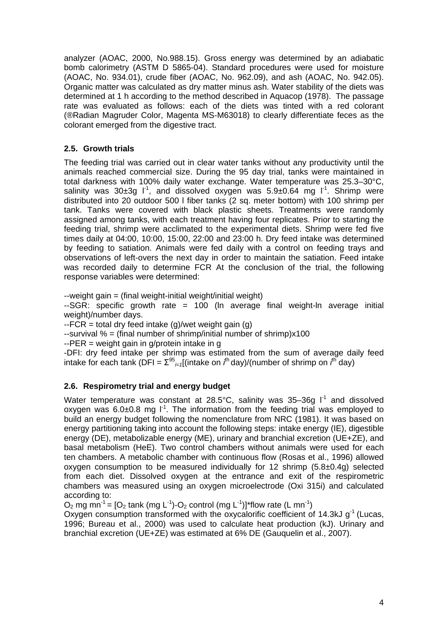analyzer (AOAC, 2000, No.988.15). Gross energy was determined by an adiabatic bomb calorimetry (ASTM D 5865-04). Standard procedures were used for moisture (AOAC, No. 934.01), crude fiber (AOAC, No. 962.09), and ash (AOAC, No. 942.05). Organic matter was calculated as dry matter minus ash. Water stability of the diets was determined at 1 h according to the method described in Aquacop (1978). The passage rate was evaluated as follows: each of the diets was tinted with a red colorant (®Radian Magruder Color, Magenta MS-M63018) to clearly differentiate feces as the colorant emerged from the digestive tract.

# **2.5. Growth trials**

The feeding trial was carried out in clear water tanks without any productivity until the animals reached commercial size. During the 95 day trial, tanks were maintained in total darkness with 100% daily water exchange. Water temperature was 25.3–30°C, salinity was  $30\pm 3g$  I<sup>-1</sup>, and dissolved oxygen was  $5.9\pm 0.64$  mg I<sup>-1</sup>. Shrimp were distributed into 20 outdoor 500 l fiber tanks (2 sq. meter bottom) with 100 shrimp per tank. Tanks were covered with black plastic sheets. Treatments were randomly assigned among tanks, with each treatment having four replicates. Prior to starting the feeding trial, shrimp were acclimated to the experimental diets. Shrimp were fed five times daily at 04:00, 10:00, 15:00, 22:00 and 23:00 h. Dry feed intake was determined by feeding to satiation. Animals were fed daily with a control on feeding trays and observations of left-overs the next day in order to maintain the satiation. Feed intake was recorded daily to determine FCR At the conclusion of the trial, the following response variables were determined:

--weight gain = (final weight-initial weight/initial weight)

--SGR: specific growth rate = 100 (ln average final weight-ln average initial weight)/number days.

 $-FCR =$  total dry feed intake (g)/wet weight gain (g)

--survival % = (final number of shrimp/initial number of shrimp)x100

 $-$ -PER = weight gain in g/protein intake in g

-DFI: dry feed intake per shrimp was estimated from the sum of average daily feed intake for each tank (DFI =  $\Sigma^{95}$ <sub>i=1</sub>[(intake on *i*<sup>th</sup> day)/(number of shrimp on *i*<sup>th</sup> day)

### **2.6. Respirometry trial and energy budget**

Water temperature was constant at  $28.5^{\circ}$ C, salinity was  $35-36g$   $I^1$  and dissolved oxygen was  $6.0\pm0.8$  mg  $I^1$ . The information from the feeding trial was employed to build an energy budget following the nomenclature from NRC (1981). It was based on energy partitioning taking into account the following steps: intake energy (IE), digestible energy (DE), metabolizable energy (ME), urinary and branchial excretion (UE+ZE), and basal metabolism (HeE). Two control chambers without animals were used for each ten chambers. A metabolic chamber with continuous flow (Rosas et al., 1996) allowed oxygen consumption to be measured individually for 12 shrimp  $(5.8\pm0.4g)$  selected from each diet. Dissolved oxygen at the entrance and exit of the respirometric chambers was measured using an oxygen microelectrode (Oxi 315i) and calculated according to:

 $O_2$  mg mn<sup>-1</sup> =  $IO_2$  tank (mg L<sup>-1</sup>)- $O_2$  control (mg L<sup>-1</sup>)]\*flow rate (L mn<sup>-1</sup>)

Oxygen consumption transformed with the oxycalorific coefficient of 14.3kJ  $g^{-1}$  (Lucas, 1996; Bureau et al., 2000) was used to calculate heat production (kJ). Urinary and branchial excretion (UE+ZE) was estimated at 6% DE (Gauquelin et al., 2007).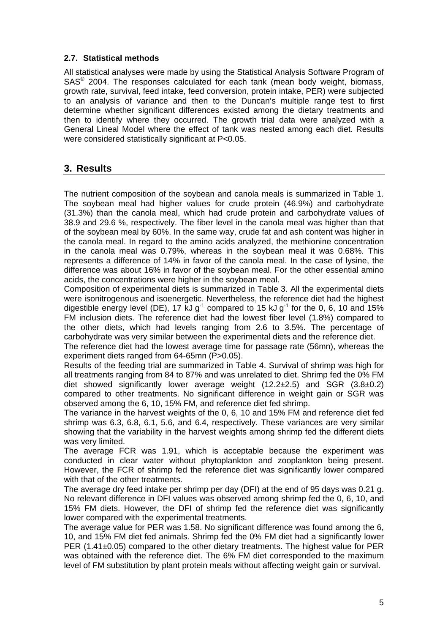#### **2.7. Statistical methods**

All statistical analyses were made by using the Statistical Analysis Software Program of SAS® 2004. The responses calculated for each tank (mean body weight, biomass, growth rate, survival, feed intake, feed conversion, protein intake, PER) were subjected to an analysis of variance and then to the Duncan's multiple range test to first determine whether significant differences existed among the dietary treatments and then to identify where they occurred. The growth trial data were analyzed with a General Lineal Model where the effect of tank was nested among each diet. Results were considered statistically significant at P<0.05.

# **3. Results**

The nutrient composition of the soybean and canola meals is summarized in Table 1. The soybean meal had higher values for crude protein (46.9%) and carbohydrate (31.3%) than the canola meal, which had crude protein and carbohydrate values of 38.9 and 29.6 %, respectively. The fiber level in the canola meal was higher than that of the soybean meal by 60%. In the same way, crude fat and ash content was higher in the canola meal. In regard to the amino acids analyzed, the methionine concentration in the canola meal was 0.79%, whereas in the soybean meal it was 0.68%. This represents a difference of 14% in favor of the canola meal. In the case of lysine, the difference was about 16% in favor of the soybean meal. For the other essential amino acids, the concentrations were higher in the soybean meal.

Composition of experimental diets is summarized in Table 3. All the experimental diets were isonitrogenous and isoenergetic. Nevertheless, the reference diet had the highest digestible energy level (DE), 17  $\text{KJ g}^{-1}$  compared to 15 kJ g<sup>-1</sup> for the 0, 6, 10 and 15% FM inclusion diets. The reference diet had the lowest fiber level (1.8%) compared to the other diets, which had levels ranging from 2.6 to 3.5%. The percentage of carbohydrate was very similar between the experimental diets and the reference diet.

The reference diet had the lowest average time for passage rate (56mn), whereas the experiment diets ranged from 64-65mn (P>0.05).

Results of the feeding trial are summarized in Table 4. Survival of shrimp was high for all treatments ranging from 84 to 87% and was unrelated to diet. Shrimp fed the 0% FM diet showed significantly lower average weight  $(12.2\pm 2.5)$  and SGR  $(3.8\pm 0.2)$ compared to other treatments. No significant difference in weight gain or SGR was observed among the 6, 10, 15% FM, and reference diet fed shrimp.

The variance in the harvest weights of the 0, 6, 10 and 15% FM and reference diet fed shrimp was 6.3, 6.8, 6.1, 5.6, and 6.4, respectively. These variances are very similar showing that the variability in the harvest weights among shrimp fed the different diets was very limited.

The average FCR was 1.91, which is acceptable because the experiment was conducted in clear water without phytoplankton and zooplankton being present. However, the FCR of shrimp fed the reference diet was significantly lower compared with that of the other treatments.

The average dry feed intake per shrimp per day (DFI) at the end of 95 days was 0.21 g. No relevant difference in DFI values was observed among shrimp fed the 0, 6, 10, and 15% FM diets. However, the DFI of shrimp fed the reference diet was significantly lower compared with the experimental treatments.

The average value for PER was 1.58. No significant difference was found among the 6, 10, and 15% FM diet fed animals. Shrimp fed the 0% FM diet had a significantly lower PER (1.41±0.05) compared to the other dietary treatments. The highest value for PER was obtained with the reference diet. The 6% FM diet corresponded to the maximum level of FM substitution by plant protein meals without affecting weight gain or survival.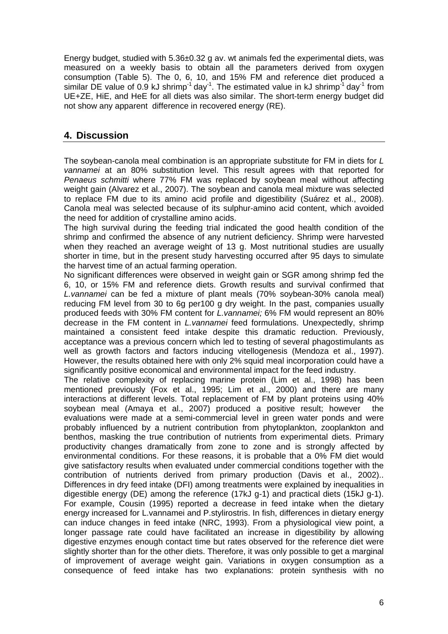Energy budget, studied with 5.36±0.32 g av. wt animals fed the experimental diets, was measured on a weekly basis to obtain all the parameters derived from oxvgen consumption (Table 5). The 0, 6, 10, and 15% FM and reference diet produced a similar DE value of 0.9 kJ shrimp<sup>-1</sup> day<sup>-1</sup>. The estimated value in kJ shrimp<sup>-1</sup> day<sup>-1</sup> from UE+ZE, HiE, and HeE for all diets was also similar. The short-term energy budget did not show any apparent difference in recovered energy (RE).

# **4. Discussion**

The soybean-canola meal combination is an appropriate substitute for FM in diets for *L vannamei* at an 80% substitution level. This result agrees with that reported for *Penaeus schmitti* where 77% FM was replaced by soybean meal without affecting weight gain (Alvarez et al., 2007). The soybean and canola meal mixture was selected to replace FM due to its amino acid profile and digestibility (Suárez et al., 2008). Canola meal was selected because of its sulphur-amino acid content, which avoided the need for addition of crystalline amino acids.

The high survival during the feeding trial indicated the good health condition of the shrimp and confirmed the absence of any nutrient deficiency. Shrimp were harvested when they reached an average weight of 13 g. Most nutritional studies are usually shorter in time, but in the present study harvesting occurred after 95 days to simulate the harvest time of an actual farming operation.

No significant differences were observed in weight gain or SGR among shrimp fed the 6, 10, or 15% FM and reference diets. Growth results and survival confirmed that *L.vannamei* can be fed a mixture of plant meals (70% soybean-30% canola meal) reducing FM level from 30 to 6g per100 g dry weight. In the past, companies usually produced feeds with 30% FM content for *L.vannamei;* 6% FM would represent an 80% decrease in the FM content in *L.vannamei* feed formulations. Unexpectedly, shrimp maintained a consistent feed intake despite this dramatic reduction. Previously, acceptance was a previous concern which led to testing of several phagostimulants as well as growth factors and factors inducing vitellogenesis (Mendoza et al., 1997). However, the results obtained here with only 2% squid meal incorporation could have a significantly positive economical and environmental impact for the feed industry.

The relative complexity of replacing marine protein (Lim et al., 1998) has been mentioned previously (Fox et al., 1995; Lim et al., 2000) and there are many interactions at different levels. Total replacement of FM by plant proteins using 40% soybean meal (Amaya et al., 2007) produced a positive result; however the evaluations were made at a semi-commercial level in green water ponds and were probably influenced by a nutrient contribution from phytoplankton, zooplankton and benthos, masking the true contribution of nutrients from experimental diets. Primary productivity changes dramatically from zone to zone and is strongly affected by environmental conditions. For these reasons, it is probable that a 0% FM diet would give satisfactory results when evaluated under commercial conditions together with the contribution of nutrients derived from primary production (Davis et al., 2002).. Differences in dry feed intake (DFI) among treatments were explained by inequalities in digestible energy (DE) among the reference (17kJ g-1) and practical diets (15kJ g-1). For example, Cousin (1995) reported a decrease in feed intake when the dietary energy increased for L.vannamei and P.stylirostris. In fish, differences in dietary energy can induce changes in feed intake (NRC, 1993). From a physiological view point, a longer passage rate could have facilitated an increase in digestibility by allowing digestive enzymes enough contact time but rates observed for the reference diet were slightly shorter than for the other diets. Therefore, it was only possible to get a marginal of improvement of average weight gain. Variations in oxygen consumption as a consequence of feed intake has two explanations: protein synthesis with no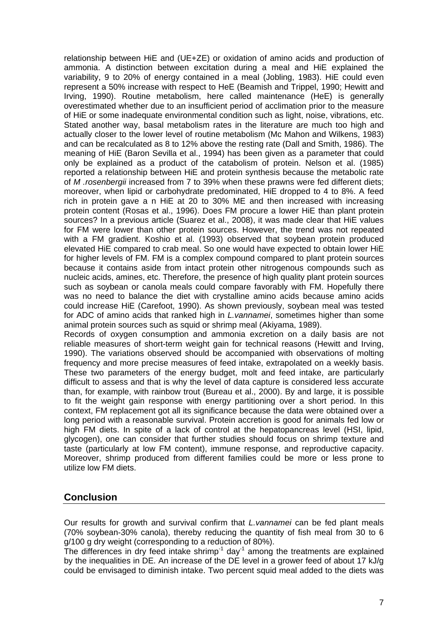relationship between HiE and (UE+ZE) or oxidation of amino acids and production of ammonia. A distinction between excitation during a meal and HiE explained the variability, 9 to 20% of energy contained in a meal (Jobling, 1983). HiE could even represent a 50% increase with respect to HeE (Beamish and Trippel, 1990; Hewitt and Irving, 1990). Routine metabolism, here called maintenance (HeE) is generally overestimated whether due to an insufficient period of acclimation prior to the measure of HiE or some inadequate environmental condition such as light, noise, vibrations, etc. Stated another way, basal metabolism rates in the literature are much too high and actually closer to the lower level of routine metabolism (Mc Mahon and Wilkens, 1983) and can be recalculated as 8 to 12% above the resting rate (Dall and Smith, 1986). The meaning of HiE (Baron Sevilla et al., 1994) has been given as a parameter that could only be explained as a product of the catabolism of protein. Nelson et al. (1985) reported a relationship between HiE and protein synthesis because the metabolic rate of *M .rosenbergii* increased from 7 to 39% when these prawns were fed different diets; moreover, when lipid or carbohydrate predominated, HiE dropped to 4 to 8%. A feed rich in protein gave a n HiE at 20 to 30% ME and then increased with increasing protein content (Rosas et al., 1996). Does FM procure a lower HiE than plant protein sources? In a previous article (Suarez et al., 2008), it was made clear that HiE values for FM were lower than other protein sources. However, the trend was not repeated with a FM gradient. Koshio et al. (1993) observed that soybean protein produced elevated HiE compared to crab meal. So one would have expected to obtain lower HiE for higher levels of FM. FM is a complex compound compared to plant protein sources because it contains aside from intact protein other nitrogenous compounds such as nucleic acids, amines, etc. Therefore, the presence of high quality plant protein sources such as soybean or canola meals could compare favorably with FM. Hopefully there was no need to balance the diet with crystalline amino acids because amino acids could increase HiE (Carefoot, 1990). As shown previously, soybean meal was tested for ADC of amino acids that ranked high in *L.vannamei*, sometimes higher than some animal protein sources such as squid or shrimp meal (Akiyama, 1989).

Records of oxygen consumption and ammonia excretion on a daily basis are not reliable measures of short-term weight gain for technical reasons (Hewitt and Irving, 1990). The variations observed should be accompanied with observations of molting frequency and more precise measures of feed intake, extrapolated on a weekly basis. These two parameters of the energy budget, molt and feed intake, are particularly difficult to assess and that is why the level of data capture is considered less accurate than, for example, with rainbow trout (Bureau et al., 2000). By and large, it is possible to fit the weight gain response with energy partitioning over a short period. In this context, FM replacement got all its significance because the data were obtained over a long period with a reasonable survival. Protein accretion is good for animals fed low or high FM diets. In spite of a lack of control at the hepatopancreas level (HSI, lipid, glycogen), one can consider that further studies should focus on shrimp texture and taste (particularly at low FM content), immune response, and reproductive capacity. Moreover, shrimp produced from different families could be more or less prone to utilize low FM diets.

# **Conclusion**

Our results for growth and survival confirm that *L.vannamei* can be fed plant meals (70% soybean-30% canola), thereby reducing the quantity of fish meal from 30 to 6 g/100 g dry weight (corresponding to a reduction of 80%).

The differences in dry feed intake shrimp<sup>-1</sup> day<sup>-1</sup> among the treatments are explained by the inequalities in DE. An increase of the DE level in a grower feed of about 17 kJ/g could be envisaged to diminish intake. Two percent squid meal added to the diets was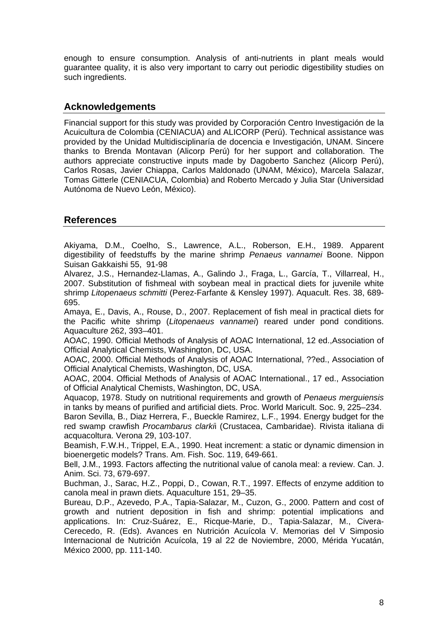enough to ensure consumption. Analysis of anti-nutrients in plant meals would guarantee quality, it is also very important to carry out periodic digestibility studies on such ingredients.

# **Acknowledgements**

Financial support for this study was provided by Corporación Centro Investigación de la Acuicultura de Colombia (CENIACUA) and ALICORP (Perú). Technical assistance was provided by the Unidad Multidisciplinaría de docencia e Investigación, UNAM. Sincere thanks to Brenda Montavan (Alicorp Perú) for her support and collaboration. The authors appreciate constructive inputs made by Dagoberto Sanchez (Alicorp Perú), Carlos Rosas, Javier Chiappa, Carlos Maldonado (UNAM, México), Marcela Salazar, Tomas Gitterle (CENIACUA, Colombia) and Roberto Mercado y Julia Star (Universidad Autónoma de Nuevo León, México).

# **References**

Akiyama, D.M., Coelho, S., Lawrence, A.L., Roberson, E.H., 1989. Apparent digestibility of feedstuffs by the marine shrimp *Penaeus vannamei* Boone. Nippon Suisan Gakkaishi 55, 91-98

Alvarez, J.S., Hernandez-Llamas, A., Galindo J., Fraga, L., García, T., Villarreal, H., 2007. Substitution of fishmeal with soybean meal in practical diets for juvenile white shrimp *Litopenaeus schmitti* (Perez-Farfante & Kensley 1997). Aquacult. Res. 38, 689- 695.

Amaya, E., Davis, A., Rouse, D., 2007. Replacement of fish meal in practical diets for the Pacific white shrimp (*Litopenaeus vannamei*) reared under pond conditions. Aquacultur*e* 262, 393–401.

AOAC, 1990. Official Methods of Analysis of AOAC International, 12 ed.,Association of Official Analytical Chemists, Washington, DC, USA.

AOAC, 2000. Official Methods of Analysis of AOAC International, ??ed., Association of Official Analytical Chemists, Washington, DC, USA.

AOAC, 2004. Official Methods of Analysis of AOAC International., 17 ed., Association of Official Analytical Chemists, Washington, DC, USA.

Aquacop, 1978. Study on nutritional requirements and growth of *Penaeus merguiensis*  in tanks by means of purified and artificial diets. Proc. World Maricult. Soc. 9, 225–234.

[Baron Sevilla, B.](http://www-ca3.csa.com/ids70/p_search_form.php?field=au&query=baron+sevilla+b&log=literal&SID=2ih9uo62iqkmrvhd7h08s99lo1), [Diaz Herrera, F.](http://www-ca3.csa.com/ids70/p_search_form.php?field=au&query=diaz+herrera+f&log=literal&SID=2ih9uo62iqkmrvhd7h08s99lo1), [Bueckle Ramirez, L.F.](http://www-ca3.csa.com/ids70/p_search_form.php?field=au&query=bueckle+ramirez+lf&log=literal&SID=2ih9uo62iqkmrvhd7h08s99lo1), 1994. [Energy budget for the](http://www-ca3.csa.com/ids70/view_record.php?id=8&recnum=4&log=from_res&SID=2ih9uo62iqkmrvhd7h08s99lo1)  red swamp crawfish *Procamb*a*rus clarki*[i \(Crustacea, Cambaridae\).](http://www-ca3.csa.com/ids70/view_record.php?id=8&recnum=4&log=from_res&SID=2ih9uo62iqkmrvhd7h08s99lo1) Rivista italiana di acquacoltura. Verona 29, 103-107.

Beamish, F.W.H., Trippel, E.A., 1990. Heat increment: a static or dynamic dimension in bioenergetic models? Trans. Am. Fish. Soc. 119, 649-661.

Bell, J.M., 1993. Factors affecting the nutritional value of canola meal: a review. Can. J. Anim. Sci. 73, 679-697.

Buchman, J., Sarac, H.Z., Poppi, D., Cowan, R.T., 1997. Effects of enzyme addition to canola meal in prawn diets. Aquaculture 151, 29–35.

Bureau, D.P., Azevedo, P.A., Tapia-Salazar, M., Cuzon, G., 2000. Pattern and cost of growth and nutrient deposition in fish and shrimp: potential implications and applications. In: Cruz-Suárez, E., Ricque-Marie, D., Tapia-Salazar, M., Civera-Cerecedo, R. (Eds). Avances en Nutrición Acuícola V. Memorias del V Simposio Internacional de Nutrición Acuícola, 19 al 22 de Noviembre, 2000, Mérida Yucatán, México 2000, pp. 111-140.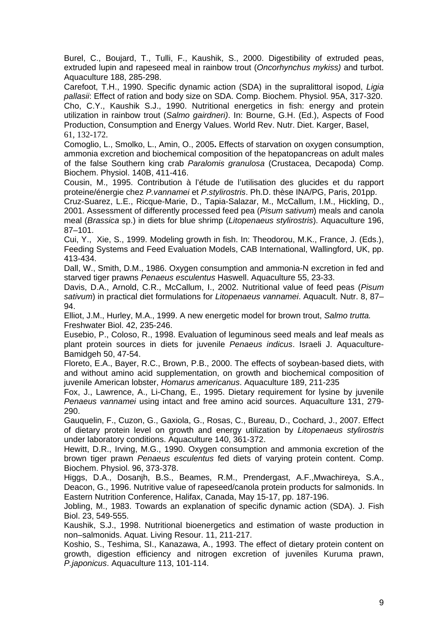Burel, C., Boujard, T., Tulli, F., Kaushik, S., 2000. Digestibility of extruded peas, extruded lupin and rapeseed meal in rainbow trout (*Oncorhynchus mykiss)* and turbot. Aquaculture 188, 285-298.

[Carefoot, T.H.](http://www-ca4.csa.com/ids70/p_search_form.php?field=au&query=carefoot+th&log=literal&SID=ihnhuvbs8ima8f20itga5h3st6), 1990. [Specific dynamic action \(SDA\) in the supralittoral isopod,](http://www-ca4.csa.com/ids70/view_record.php?id=3&recnum=0&log=from_res&SID=ihnhuvbs8ima8f20itga5h3st6) *Ligia pallasii*[: Effect of ration and body size on SDA.](http://www-ca4.csa.com/ids70/view_record.php?id=3&recnum=0&log=from_res&SID=ihnhuvbs8ima8f20itga5h3st6) Comp. Biochem. Physiol. 95A, 317-320. Cho, C.Y., Kaushik S.J., 1990. Nutritional energetics in fish: energy and protein utilization in rainbow trout (*Salmo gairdneri)*. In: Bourne, G.H. (Ed.), Aspects of Food Production, Consumption and Energy Values. World Rev. Nutr. Diet. Karger, Basel, 61, 132-172.

[Comoglio, L.](http://www-mi1.csa.com/ids70/p_search_form.php?field=au&query=comoglio+l&log=literal&SID=66c1rl53ophtp7rom5ro0ec590), [Smolko, L](http://www-mi1.csa.com/ids70/p_search_form.php?field=au&query=smolko+l&log=literal&SID=66c1rl53ophtp7rom5ro0ec590)., [Amin, O.](http://www-mi1.csa.com/ids70/p_search_form.php?field=au&query=amin+o&log=literal&SID=66c1rl53ophtp7rom5ro0ec590), 2005**.** [Effects of starvation on oxygen consumption,](http://www-mi1.csa.com/ids70/view_record.php?id=7&recnum=1&log=from_res&SID=66c1rl53ophtp7rom5ro0ec590)  [ammonia excretion and biochemical composition of the hepatopancreas on adult males](http://www-mi1.csa.com/ids70/view_record.php?id=7&recnum=1&log=from_res&SID=66c1rl53ophtp7rom5ro0ec590)  [of the false Southern king crab](http://www-mi1.csa.com/ids70/view_record.php?id=7&recnum=1&log=from_res&SID=66c1rl53ophtp7rom5ro0ec590) *Paralomis granulosa* (Crustacea, Decapoda) Comp. Biochem. Physiol. 140B, 411-416.

Cousin, M., 1995. Contribution à l'étude de l'utilisation des glucides et du rapport proteine/énergie chez *P.vannamei* et *P.stylirostris*. Ph.D. thèse INA/PG, Paris, 201pp.

Cruz-Suarez, L.E., Ricque-Marie, D., Tapia-Salazar, M., McCallum, I.M., Hickling, D., 2001. Assessment of differently processed feed pea (*Pisum sativum*) meals and canola meal (*Brassica* sp.) in diets for blue shrimp (*Litopenaeus stylirostris*). Aquaculture 196, 87–101.

Cui, Y., Xie, S., 1999. Modeling growth in fish. In: Theodorou, M.K., France, J. (Eds.), Feeding Systems and Feed Evaluation Models, CAB International, Wallingford, UK, pp. 413-434.

Dall, W., Smith, D.M., 1986. Oxygen consumption and ammonia-N excretion in fed and starved tiger prawns *Penaeus esculentus* Haswell. Aquaculture 55, 23-33.

Davis, D.A., Arnold, C.R., McCallum, I., 2002. Nutritional value of feed peas (*Pisum sativum*) in practical diet formulations for *Litopenaeus vannamei*. Aquacult. Nutr. 8, 87– 94.

Elliot, J.M., Hurley, M.A., 1999. A new energetic model for brown trout, *Salmo trutta.* Freshwater Biol. 42, 235-246.

Eusebio, P., Coloso, R., 1998. Evaluation of leguminous seed meals and leaf meals as plant protein sources in diets for juvenile *Penaeus indicus*. Israeli J. Aquaculture-Bamidgeh 50, 47-54.

Floreto, E.A., Bayer, R.C., Brown, P.B., 2000. The effects of soybean-based diets, with and without amino acid supplementation, on growth and biochemical composition of juvenile American lobster, *Homarus americanus*. Aquaculture 189, 211-235

Fox, J., Lawrence, A., Li-Chang, E., 1995. Dietary requirement for lysine by juvenile *Penaeus vannamei* using intact and free amino acid sources. Aquaculture 131, 279- 290.

Gauquelin, F., Cuzon, G., Gaxiola, G., Rosas, C., Bureau, D., Cochard, J., 2007. Effect of dietary protein level on growth and energy utilization by *Litopenaeus stylirostris* under laboratory conditions. Aquaculture 140, 361-372.

Hewitt, D.R., Irving, M.G., 1990. Oxygen consumption and ammonia excretion of the brown tiger prawn *Penaeus esculentus* fed diets of varying protein content. Comp. Biochem. Physiol. 96, 373-378.

Higgs, D.A., Dosanjh, B.S., Beames, R.M., Prendergast, A.F.,Mwachireya, S.A., Deacon, G., 1996. Nutritive value of rapeseed/canola protein products for salmonids. In Eastern Nutrition Conference, Halifax, Canada, May 15-17, pp. 187-196.

[Jobling, M.](http://www-mi1.csa.com/ids70/p_search_form.php?field=au&query=jobling+m&log=literal&SID=66c1rl53ophtp7rom5ro0ec590), 1983. [Towards an explanation of specific dynamic action \(SDA\).](http://www-mi1.csa.com/ids70/view_record.php?id=2&recnum=7&log=from_res&SID=66c1rl53ophtp7rom5ro0ec590) J. Fish Biol. 23, 549-555.

Kaushik, S.J., 1998. Nutritional bioenergetics and estimation of waste production in non–salmonids. Aquat. Living Resour. 11, 211-217.

Koshio, S., Teshima, SI., Kanazawa, A., 1993. The effect of dietary protein content on growth, digestion efficiency and nitrogen excretion of juveniles Kuruma prawn, *P.japonicus*. Aquaculture 113, 101-114.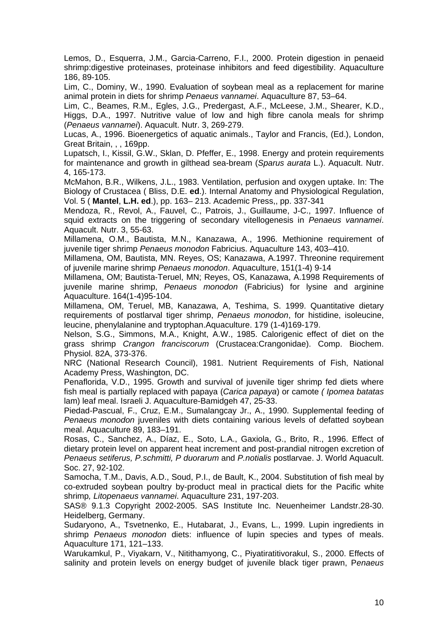Lemos, D., Esquerra, J.M., Garcia-Carreno, F.I., 2000. Protein digestion in penaeid shrimp:digestive proteinases, proteinase inhibitors and feed digestibility. Aquaculture 186, 89-105.

Lim, C., Dominy, W., 1990. Evaluation of soybean meal as a replacement for marine animal protein in diets for shrimp *Penaeus vannamei*. Aquaculture 87, 53–64.

Lim, C., Beames, R.M., Egles, J.G., Predergast, A.F., McLeese, J.M., Shearer, K.D., Higgs, D.A., 1997. Nutritive value of low and high fibre canola meals for shrimp (*Penaeus vannamei*). Aquacult. Nutr. 3, 269-279.

Lucas, A., 1996. Bioenergetics of aquatic animals., Taylor and Francis, (Ed.), London, Great Britain, , , 169pp.

Lupatsch, I., Kissil, G.W., Sklan, D. Pfeffer, E., 1998. Energy and protein requirements for maintenance and growth in gilthead sea-bream (*Sparus aurata* L.). Aquacult. Nutr. 4, 165-173.

McMahon, B.R., Wilkens, J.L., 1983. Ventilation, perfusion and oxygen uptake. In: The Biology of Crustacea ( Bliss, D.E. **ed**.). Internal Anatomy and Physiological Regulation, Vol. 5 ( **Mantel**, **L.H. ed**.), pp. 163– 213. Academic Press,, pp. 337-341

[Mendoza, R](http://www-md3.csa.com/ids70/p_search_form.php?field=au&query=mendoza+r&log=literal&SID=fgaqgv6ck9k5ae1pqbu1a67un5)., [Revol, A](http://www-md3.csa.com/ids70/p_search_form.php?field=au&query=revol+a&log=literal&SID=fgaqgv6ck9k5ae1pqbu1a67un5)., [Fauvel, C.](http://www-md3.csa.com/ids70/p_search_form.php?field=au&query=fauvel+c&log=literal&SID=fgaqgv6ck9k5ae1pqbu1a67un5), [Patrois, J](http://www-md3.csa.com/ids70/p_search_form.php?field=au&query=patrois+j&log=literal&SID=fgaqgv6ck9k5ae1pqbu1a67un5)., [Guillaume, J-C](http://www-md3.csa.com/ids70/p_search_form.php?field=au&query=guillaume+j+c&log=literal&SID=fgaqgv6ck9k5ae1pqbu1a67un5)., 1997. [Influence of](http://www-md3.csa.com/ids70/view_record.php?id=2&recnum=9&log=from_res&SID=fgaqgv6ck9k5ae1pqbu1a67un5)  [squid extracts on the triggering of secondary vitellogenesis in](http://www-md3.csa.com/ids70/view_record.php?id=2&recnum=9&log=from_res&SID=fgaqgv6ck9k5ae1pqbu1a67un5) *Penaeus vannamei*. Aquacult. Nutr. 3, 55-63.

Millamena, O.M., Bautista, M.N., Kanazawa, A., 1996. Methionine requirement of juvenile tiger shrimp *Penaeus monodon* Fabricius. Aquaculture 143, 403–410.

Millamena, OM, Bautista, MN. Reyes, OS; Kanazawa, A.1997. Threonine requirement of juvenile marine shrimp *Penaeus monodon*. Aquaculture, 151(1-4) 9-14

Millamena, OM; Bautista-Teruel, MN; Reyes, OS, Kanazawa, A.1998 Requirements of juvenile marine shrimp, *Penaeus monodon* (Fabricius) for lysine and arginine Aquaculture. 164(1-4)95-104.

Millamena, OM, Teruel, MB, Kanazawa, A, Teshima, S. 1999. Quantitative dietary requirements of postlarval tiger shrimp, *Penaeus monodon*, for histidine, isoleucine, leucine, phenylalanine and tryptophan.Aquaculture. 179 (1-4)169-179.

[Nelson, S.G.](http://www-ca3.csa.com/ids70/p_search_form.php?field=au&query=nelson+sg&log=literal&SID=2ih9uo62iqkmrvhd7h08s99lo1), [Simmons, M.A.](http://www-ca3.csa.com/ids70/p_search_form.php?field=au&query=simmons+ma&log=literal&SID=2ih9uo62iqkmrvhd7h08s99lo1), [Knight, A.W](http://www-ca3.csa.com/ids70/p_search_form.php?field=au&query=knight+aw&log=literal&SID=2ih9uo62iqkmrvhd7h08s99lo1)., 1985. [Calorigenic effect of diet on the](http://www-ca3.csa.com/ids70/view_record.php?id=5&recnum=35&log=from_res&SID=2ih9uo62iqkmrvhd7h08s99lo1)  grass shrimp *Crangon franciscorum* [\(Crustacea:Crangonidae\).](http://www-ca3.csa.com/ids70/view_record.php?id=5&recnum=35&log=from_res&SID=2ih9uo62iqkmrvhd7h08s99lo1) Comp. Biochem. Physiol. 82A, 373-376.

NRC (National Research Council), 1981. Nutrient Requirements of Fish, National Academy Press, Washington, DC.

Penaflorida, V.D., 1995. Growth and survival of juvenile tiger shrimp fed diets where fish meal is partially replaced with papaya (*Carica papaya*) or camote *( Ipomea batatas* lam) leaf meal. Israeli J. Aquaculture-Bamidgeh 47, 25-33.

Piedad-Pascual, F., Cruz, E.M., Sumalangcay Jr., A., 1990. Supplemental feeding of *Penaeus monodon* juveniles with diets containing various levels of defatted soybean meal. Aquaculture 89, 183–191.

Rosas, C., Sanchez, A., Díaz, E., Soto, L.A., Gaxiola, G., Brito, R., 1996. Effect of dietary protein level on apparent heat increment and post-prandial nitrogen excretion of *Penaeus setiferus, P.schmitti, P duorarum* and *P.notialis* postlarvae. J. World Aquacult. Soc. 27, 92-102.

Samocha, T.M., Davis, A.D., Soud, P.I., de Bault, K., 2004. Substitution of fish meal by co-extruded soybean poultry by-product meal in practical diets for the Pacific white shrimp*, Litopenaeus vannamei*. Aquaculture 231, 197-203.

SAS® 9.1.3 Copyright 2002-2005. SAS Institute Inc. Neuenheimer Landstr.28-30. Heidelberg, Germany.

Sudaryono, A., Tsvetnenko, E., Hutabarat, J., Evans, L., 1999. Lupin ingredients in shrimp *Penaeus monodon* diets: influence of lupin species and types of meals. Aquaculture 171, 121–133.

Warukamkul, P., Viyakarn, V., Nitithamyong, C., Piyatiratitivorakul, S., 2000. Effects of salinity and protein levels on energy budget of juvenile black tiger prawn, P*enaeus*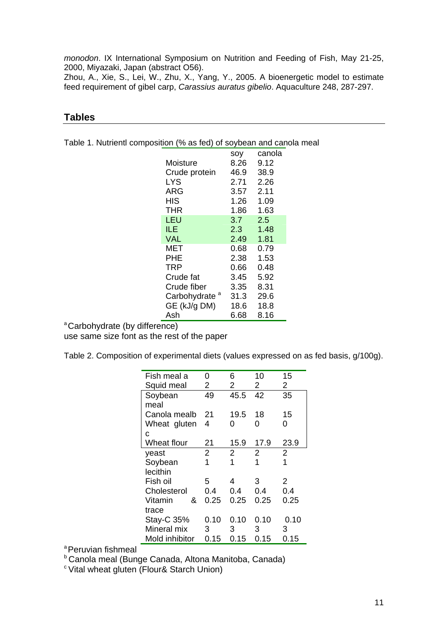*monodon*. IX International Symposium on Nutrition and Feeding of Fish, May 21-25, 2000, Miyazaki, Japan (abstract O56).

Zhou, A., Xie, S., Lei, W., Zhu, X., Yang, Y., 2005. A bioenergetic model to estimate feed requirement of gibel carp, *Carassius auratus gibelio*. Aquaculture 248, 287-297.

#### **Tables**

Table 1. Nutrientl composition (% as fed) of soybean and canola meal

|                           | soy  | canola |
|---------------------------|------|--------|
| Moisture                  | 8.26 | 9.12   |
| Crude protein             | 46.9 | 38.9   |
| LYS                       | 2.71 | 2.26   |
| ARG                       | 3.57 | 2.11   |
| HIS                       | 1.26 | 1.09   |
| THR                       | 1.86 | 1.63   |
| LEU                       | 3.7  | 2.5    |
| ILE                       | 2.3  | 1.48   |
| <b>VAL</b>                | 2.49 | 1.81   |
| мет                       | 0.68 | 0.79   |
| PHE                       | 2.38 | 1.53   |
| TRP                       | 0.66 | 0.48   |
| Crude fat                 | 3.45 | 5.92   |
| Crude fiber               | 3.35 | 8.31   |
| Carbohydrate <sup>a</sup> | 31.3 | 29.6   |
| GE (kJ/g DM)              | 18.6 | 18.8   |
| Ash                       | 6.68 | 8.16   |

<sup>a</sup>Carbohydrate (by difference)

use same size font as the rest of the paper

Table 2. Composition of experimental diets (values expressed on as fed basis, g/100g).

| Fish meal a       | 0    | 6              | 10             | 15             |
|-------------------|------|----------------|----------------|----------------|
| Squid meal        | 2    | $\overline{2}$ | 2              | 2              |
| Soybean           | 49   | 45.5           | 42             | 35             |
| meal              |      |                |                |                |
| Canola mealb      | 21   | 19.5           | 18             | 15             |
| Wheat gluten      | 4    | ი              | 0              | 0              |
| С                 |      |                |                |                |
| Wheat flour       | 21   | 15.9           | 17.9           | 23.9           |
| yeast             | 2    | $\overline{2}$ | $\overline{2}$ | $\overline{2}$ |
| Soybean           | 1    | 1              | 1              | 1              |
| lecithin          |      |                |                |                |
| Fish oil          | 5    | 4              | 3              | 2              |
| Cholesterol       | 0.4  | 0.4            | 0.4            | 0.4            |
| &<br>Vitamin      | 0.25 | 0.25           | 0.25           | 0.25           |
| trace             |      |                |                |                |
| <b>Stay-C 35%</b> | 0.10 | 0.10           | 0.10           | 0.10           |
| Mineral mix       | 3    | 3              | 3              | 3              |
| Mold inhibitor    | 0.15 | 0.15           | 0.15           | 0.15           |

<sup>a</sup> Peruvian fishmeal

<sup>b</sup> Canola meal (Bunge Canada, Altona Manitoba, Canada)

<sup>c</sup> Vital wheat gluten (Flour& Starch Union)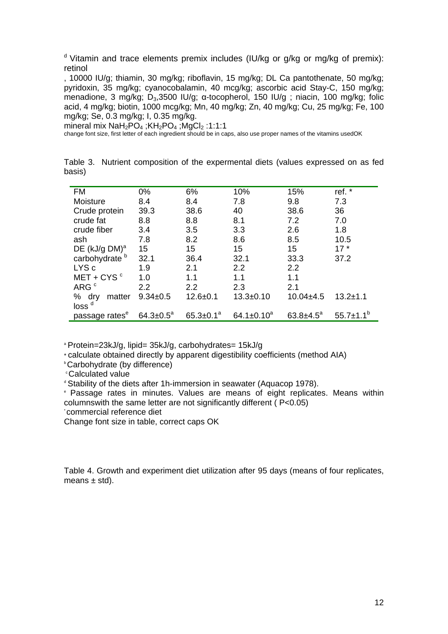$d$  Vitamin and trace elements premix includes (IU/kg or g/kg or mg/kg of premix): retinol

, 10000 IU/g; thiamin, 30 mg/kg; riboflavin, 15 mg/kg; DL Ca pantothenate, 50 mg/kg; pyridoxin, 35 mg/kg; cyanocobalamin, 40 mcg/kg; ascorbic acid Stay-C, 150 mg/kg; menadione, 3 mg/kg; D3,3500 IU/g; α-tocopherol, 150 IU/g ; niacin, 100 mg/kg; folic acid, 4 mg/kg; biotin, 1000 mcg/kg; Mn, 40 mg/kg; Zn, 40 mg/kg; Cu, 25 mg/kg; Fe, 100 mg/kg; Se, 0.3 mg/kg; I, 0.35 mg/kg.

mineral mix  $NaH_2PO_4$ ;  $KH_2PO_4$ ;  $MqCl_2$ : 1:1:1:1

change font size, first letter of each ingredient should be in caps, also use proper names of the vitamins usedOK

Table 3. Nutrient composition of the expermental diets (values expressed on as fed basis)

| <b>FM</b>                  | 0%               | 6%               | 10%               | 15%             | ref. *                 |
|----------------------------|------------------|------------------|-------------------|-----------------|------------------------|
| Moisture                   | 8.4              | 8.4              | 7.8               | 9.8             | 7.3                    |
| Crude protein              | 39.3             | 38.6             | 40                | 38.6            | 36                     |
| crude fat                  | 8.8              | 8.8              | 8.1               | 7.2             | 7.0                    |
| crude fiber                | 3.4              | 3.5              | 3.3               | 2.6             | 1.8                    |
| ash                        | 7.8              | 8.2              | 8.6               | 8.5             | 10.5                   |
| DE $(kJ/g DM)^a$           | 15               | 15               | 15                | 15              | $17*$                  |
| carbohydrate <sup>b</sup>  | 32.1             | 36.4             | 32.1              | 33.3            | 37.2                   |
| LYS <sub>c</sub>           | 1.9              | 2.1              | 2.2               | 2.2             |                        |
| MET + CYS $\degree$        | 1.0              | 1.1              | 1.1               | 1.1             |                        |
| ARG <sup>c</sup>           | 2.2              | 2.2              | 2.3               | 2.1             |                        |
| %<br>dry<br>matter         | $9.34 \pm 0.5$   | $12.6 + 0.1$     | $13.3 \pm 0.10$   | $10.04 \pm 4.5$ | $13.2 \pm 1.1$         |
| loss <sup>d</sup>          |                  |                  |                   |                 |                        |
| passage rates <sup>e</sup> | $64.3 \pm 0.5^a$ | $65.3 \pm 0.1^a$ | $64.1 \pm 0.10^a$ | $63.8 + 4.5^a$  | $55.7 \pm 1.1^{\circ}$ |
|                            |                  |                  |                   |                 |                        |

<sup>a</sup> Protein=23kJ/g, lipid= 35kJ/g, carbohydrates= 15kJ/g

\* calculate obtained directly by apparent digestibility coefficients (method AIA)

**Carbohydrate (by difference)** 

c Calculated value

<sup>d</sup> Stability of the diets after 1h-immersion in seawater (Aquacop 1978).

<sup>e</sup> Passage rates in minutes. Values are means of eight replicates. Means within columnswith the same letter are not significantly different ( P<0.05)

\* commercial reference diet

Change font size in table, correct caps OK

Table 4. Growth and experiment diet utilization after 95 days (means of four replicates, means  $\pm$  std).